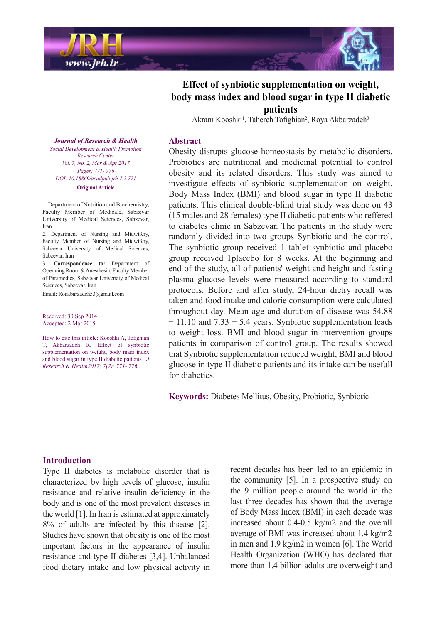



Akram Kooshki<sup>1</sup>, Tahereh Tofighian<sup>2</sup>, Roya Akbarzadeh<sup>3</sup>

#### **Abstract**

Obesity disrupts glucose homeostasis by metabolic disorders. Probiotics are nutritional and medicinal potential to control obesity and its related disorders. This study was aimed to investigate effects of synbiotic supplementation on weight, Body Mass Index (BMI) and blood sugar in type II diabetic patients. This clinical double-blind trial study was done on 43  $(15 \text{ males and } 28 \text{ females})$  type II diabetic patients who reffered to diabetes clinic in Sabzevar. The patients in the study were randomly divided into two groups Synbiotic and the control. The synbiotic group received 1 tablet synbiotic and placebo group received 1 placebo for 8 weeks. At the beginning and end of the study, all of patients' weight and height and fasting plasma glucose levels were measured according to standard protocols. Before and after study, 24-hour dietry recall was taken and food intake and calorie consumption were calculated throughout day. Mean age and duration of disease was 54.88  $\pm$  11.10 and 7.33  $\pm$  5.4 years. Synbiotic supplementation leads to weight loss. BMI and blood sugar in intervention groups patients in comparison of control group. The results showed that Synbiotic supplementation reduced weight. BMI and blood glucose in type II diabetic patients and its intake can be usefull for diabetics.

Keywords: Diabetes Mellitus, Obesity, Probiotic, Synbiotic

**Journal of Research & Health**  *Promotion Health & Development Social Center Research Vol. 7, No. 2, Mar & Apr 2017 Pages*: 771- 776 *DOI*: 10.18869/ acadpub.jrh.7.2.771 **Original** Article

1. Department of Nutrition and Biochemistry,

Faculty Member of Medicale, Sabzevar University of Medical Sciences, Sabzevar, Iran

2. Department of Nursing and Midwifery, Faculty Member of Nursing and Midwifery, Sabzevar University of Medical Sciences, Sabzevar, Iran

3. **Correspondence to:** Department of Operating Room & Anesthesia, Faculty Member of Paramedics, Sabzevar University of Medical Sciences Sabzevar Iran

Email: Roakbarzadeh 53@gmail.com

Received: 30 Sep 2014 Accepted: 2 Mar 2015

How to cite this article: Kooshki A, Tofighian T, Akbarzadeh R. Effect of synbiotic supplementation on weight, body mass index and blood sugar in type II diabetic patients . J *Research & Health 2017; 7(2): 771-776.* 

### **Introduction**

Type II diabetes is metabolic disorder that is characterized by high levels of glucose, insulin resistance and relative insulin deficiency in the body and is one of the most prevalent diseases in the world  $[1]$ . In Iran is estimated at approximately  $8\%$  of adults are infected by this disease [2]. Studies have shown that obesity is one of the most important factors in the appearance of insulin resistance and type II diabetes [3,4]. Unbalanced food dietary intake and low physical activity in recent decades has been led to an epidemic in the community  $[5]$ . In a prospective study on the 9 million people around the world in the last three decades has shown that the average of Body Mass Index (BMI) in each decade was increased about  $0.4$ - $0.5$  kg/m<sub>2</sub> and the overall average of BMI was increased about  $1.4 \text{ kg/m2}$ in men and  $1.9 \text{ kg/m2}$  in women [6]. The World Health Organization (WHO) has declared that more than 1.4 billion adults are overweight and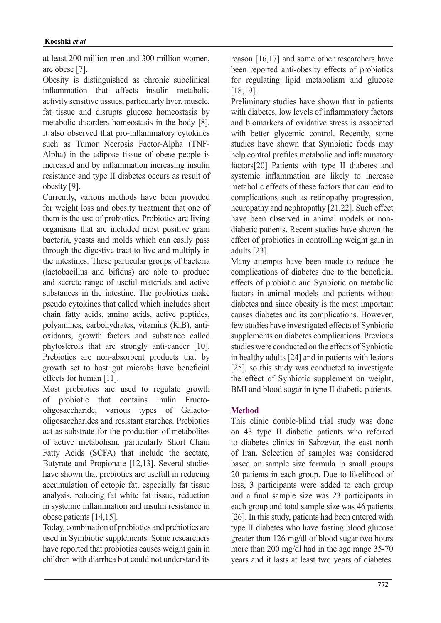at least 200 million men and 300 million women, are obese  $[7]$ .

Obesity is distinguished as chronic subclinical inflammation that affects insulin metabolic activity sensitive tissues, particularly liver, muscle, fat tissue and disrupts glucose homeostasis by metabolic disorders homeostasis in the body [8]. It also observed that pro-inflammatory cytokines Alpha) in the adipose tissue of obese people is such as Tumor Necrosis Factor-Alpha (TNFincreased and by inflammation increasing insulin resistance and type II diabetes occurs as result of obesity [9].

Currently, various methods have been provided for weight loss and obesity treatment that one of them is the use of probiotics. Probiotics are living organisms that are included most positive gram bacteria, yeasts and molds which can easily pass through the digestive tract to live and multiply in the intestines. These particular groups of bacteria  $(lactobacillus$  and bifidus) are able to produce and secrete range of useful materials and active substances in the intestine. The probiotics make pseudo cytokines that called which includes short chain fatty acids, amino acids, active peptides, oxidants, growth factors and substance called polyamines, carbohydrates, vitamins (K,B), antiphytosterols that are strongly anti-cancer [10]. Prebiotics are non-absorbent products that by growth set to host gut microbs have beneficial effects for human  $[11]$ .

Most probiotics are used to regulate growth oligosaccharides and resistant starches. Prebiotics oligosaccharide, various types of Galactoof probiotic that contains inulin Fructoact as substrate for the production of metabolites of active metabolism, particularly Short Chain Fatty Acids (SCFA) that include the acetate, Butyrate and Propionate [12,13]. Several studies have shown that prebiotics are usefull in reducing accumulation of ectopic fat, especially fat tissue analysis, reducing fat white fat tissue, reduction in systemic inflammation and insulin resistance in obese patients  $[14, 15]$ .

Today, combination of probiotics and prebiotics are used in Symbiotic supplements. Some researchers have reported that probiotics causes weight gain in children with diarrhea but could not understand its

reason  $[16,17]$  and some other researchers have been reported anti-obesity effects of probiotics for regulating lipid metabolism and glucose .[18,19]

Preliminary studies have shown that in patients with diabetes, low levels of inflammatory factors and biomarkers of oxidative stress is associated with better glycemic control. Recently, some studies have shown that Symbiotic foods may help control profiles metabolic and inflammatory factors[20] Patients with type II diabetes and systemic inflammation are likely to increase metabolic effects of these factors that can lead to complications such as retinopathy progression, neuropathy and nephropathy  $[21,22]$ . Such effect diabetic patients. Recent studies have shown the have been observed in animal models or noneffect of probiotics in controlling weight gain in adults [23].

Many attempts have been made to reduce the complications of diabetes due to the beneficial effects of probiotic and Synbiotic on metabolic factors in animal models and patients without diabetes and since obesity is the most important causes diabetes and its complications. However, few studies have investigated effects of Synbiotic supplements on diabetes complications. Previous studies were conducted on the effects of Synbiotic in healthy adults  $[24]$  and in patients with lesions [25], so this study was conducted to investigate the effect of Synbiotic supplement on weight, BMI and blood sugar in type II diabetic patients.

# **Method**

This clinic double-blind trial study was done on 43 type II diabetic patients who referred to diabetes clinics in Sabzevar, the east north of Iran. Selection of samples was considered based on sample size formula in small groups 20 patients in each group. Due to likelihood of loss, 3 participants were added to each group and a final sample size was 23 participants in each group and total sample size was 46 patients [26]. In this study, patients had been entered with type II diabetes who have fasting blood glucose greater than  $126 \text{ mg/dl}$  of blood sugar two hours more than 200 mg/dl had in the age range  $35-70$ years and it lasts at least two years of diabetes.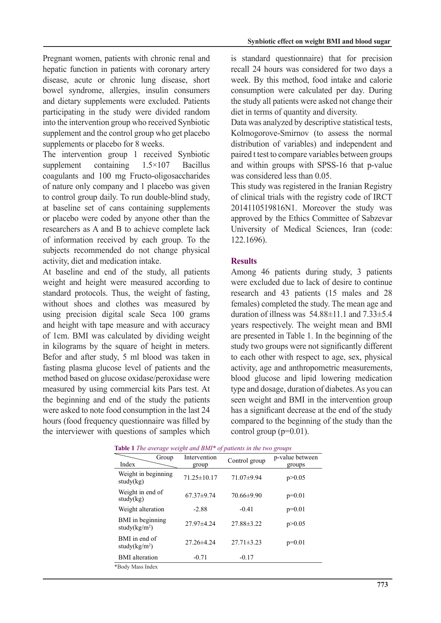Pregnant women, patients with chronic renal and hepatic function in patients with coronary artery disease, acute or chronic lung disease, short bowel syndrome, allergies, insulin consumers and dietary supplements were excluded. Patients participating in the study were divided random into the intervention group who received Synbiotic supplement and the control group who get placebo supplements or placebo for 8 weeks.

The intervention group  $1$  received Synbiotic supplement containing  $1.5 \times 107$  Bacillus coagulants and 100 mg Fructo-oligosaccharides of nature only company and 1 placebo was given to control group daily. To run double-blind study, at baseline set of cans containing supplements or placebo were coded by anyone other than the researchers as A and B to achieve complete lack of information received by each group. To the subjects recommended do not change physical activity, diet and medication intake.

At baseline and end of the study, all patients weight and height were measured according to standard protocols. Thus, the weight of fasting, without shoes and clothes was measured by using precision digital scale Seca 100 grams and height with tape measure and with accuracy of 1cm. BMI was calculated by dividing weight in kilograms by the square of height in meters. Befor and after study, 5 ml blood was taken in fasting plasma glucose level of patients and the method based on glucose oxidase/peroxidase were measured by using commercial kits Pars test. At the beginning and end of the study the patients were asked to note food consumption in the last 24 hours (food frequency questionnaire was filled by the interviewer with questions of samples which is standard questionnaire) that for precision recall 24 hours was considered for two days a week. By this method, food intake and calorie consumption were calculated per day. During the study all patients were asked not change their diet in terms of quantity and diversity.

Data was analyzed by descriptive statistical tests, Kolmogorove-Smirnov (to assess the normal distribution of variables) and independent and paired t test to compare variables between groups and within groups with SPSS-16 that p-value was considered less than 0.05.

This study was registered in the Iranian Registry of clinical trials with the registry code of IRCT 2014110519816N1. Moreover the study was approved by the Ethics Committee of Sabzevar University of Medical Sciences, Iran (code: 122.1696).

## **Results**

Among 46 patients during study, 3 patients were excluded due to lack of desire to continue research and  $43$  patients  $(15 \text{ males and } 28)$ females) completed the study. The mean age and duration of illness was  $54.88\pm11.1$  and  $7.33\pm5.4$ years respectively. The weight mean and BMI are presented in Table 1. In the beginning of the study two groups were not significantly different to each other with respect to age, sex, physical activity, age and anthropometric measurements, blood glucose and lipid lowering medication type and dosage, duration of diabetes. As you can seen weight and BMI in the intervention group has a significant decrease at the end of the study compared to the beginning of the study than the control group ( $p=0.01$ ).

| <b>Table 1</b> The average weight and BMI* of patients in the two groups |                       |                  |                           |  |  |  |  |
|--------------------------------------------------------------------------|-----------------------|------------------|---------------------------|--|--|--|--|
| Group<br>Index                                                           | Intervention<br>group | Control group    | p-value between<br>groups |  |  |  |  |
| Weight in beginning<br>study(kg)                                         | $71.25 \pm 10.17$     | 71.07±9.94       | p > 0.05                  |  |  |  |  |
| Weight in end of<br>study(kg)                                            | $67.37\pm9.74$        | $70.66\pm9.90$   | $p=0.01$                  |  |  |  |  |
| Weight alteration                                                        | $-2.88$               | $-0.41$          | $p=0.01$                  |  |  |  |  |
| BMI in beginning<br>study( $kg/m2$ )                                     | $27.97\pm4.24$        | $27.88 \pm 3.22$ | p > 0.05                  |  |  |  |  |
| BMI in end of<br>study( $kg/m2$ )                                        | $27.26 \pm 4.24$      | $27.71 \pm 3.23$ | $p=0.01$                  |  |  |  |  |
| <b>BMI</b> alteration                                                    | $-0.71$               | $-0.17$          |                           |  |  |  |  |
| *Body Mass Index                                                         |                       |                  |                           |  |  |  |  |

|  |  |  | Table 1 The average weight and BMI* of patients in the two groups |  |  |
|--|--|--|-------------------------------------------------------------------|--|--|
|  |  |  |                                                                   |  |  |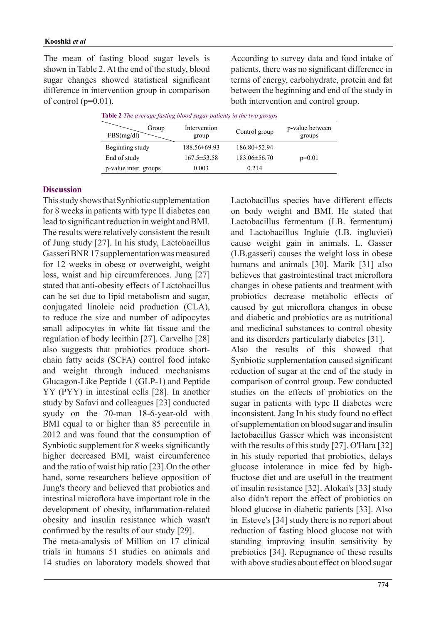The mean of fasting blood sugar levels is shown in Table 2. At the end of the study, blood sugar changes showed statistical significant difference in intervention group in comparison of control  $(p=0.01)$ .

According to survey data and food intake of patients, there was no significant difference in terms of energy, carbohydrate, protein and fat between the beginning and end of the study in both intervention and control group.

|  |  | Table 2 The average fasting blood sugar patients in the two groups |  |  |  |  |  |  |  |  |
|--|--|--------------------------------------------------------------------|--|--|--|--|--|--|--|--|
|--|--|--------------------------------------------------------------------|--|--|--|--|--|--|--|--|

| Intervention<br>group | Control group      | p-value between<br>groups |
|-----------------------|--------------------|---------------------------|
| 188.56±69.93          | 186.80 ± 52.94     |                           |
| $167.5 \pm 53.58$     | $183.06 \pm 56.70$ | $p=0.01$                  |
| 0.003                 | 0.214              |                           |
|                       |                    |                           |

### **Discussion**

This study shows that Synbiotic supplementation for 8 weeks in patients with type II diabetes can lead to significant reduction in weight and BMI. The results were relatively consistent the result of Jung study [27]. In his study, Lactobacillus Gasseri BNR 17 supplementation was measured for 12 weeks in obese or overweight, weight loss, waist and hip circumferences. Jung [27] stated that anti-obesity effects of Lactobacillus can be set due to lipid metabolism and sugar, conjugated linoleic acid production (CLA), to reduce the size and number of adipocytes small adipocytes in white fat tissue and the regulation of body lecithin  $[27]$ . Carvelho  $[28]$ chain fatty acids (SCFA) control food intake also suggests that probiotics produce shortand weight through induced mechanisms Glucagon-Like Peptide 1 (GLP-1) and Peptide YY (PYY) in intestinal cells [28]. In another study by Safavi and colleagues [23] conducted syudy on the 70-man 18-6-year-old with BMI equal to or higher than 85 percentile in 2012 and was found that the consumption of Synbiotic supplement for 8 weeks significantly higher decreased BMI, waist circumference and the ratio of waist hip ratio  $[23]$ . On the other hand, some researchers believe opposition of Jung's theory and believed that probiotics and intestinal microflora have important role in the development of obesity, inflammation-related obesity and insulin resistance which wasn't confirmed by the results of our study  $[29]$ .

The meta-analysis of Million on 17 clinical trials in humans 51 studies on animals and 14 studies on laboratory models showed that Lactobacillus species have different effects on body weight and BMI. He stated that Lactobacillus fermentum (LB. fermentum) and Lactobacillus Ingluie (LB. ingluviei) cause weight gain in animals. L. Gasser (LB.gasseri) causes the weight loss in obese humans and animals [30]. Marik [31] also believes that gastrointestinal tract microflora changes in obese patients and treatment with probiotics decrease metabolic effects of caused by gut microflora changes in obese and diabetic and probiotics are as nutritional and medicinal substances to control obesity and its disorders particularly diabetes [31]. Also the results of this showed that Synbiotic supplementation caused significant reduction of sugar at the end of the study in comparison of control group. Few conducted studies on the effects of probiotics on the sugar in patients with type II diabetes were inconsistent. Jang In his study found no effect of supplementation on blood sugar and insulin lactobacillus Gasser which was inconsistent with the results of this study  $[27]$ . O'Hara  $[32]$ in his study reported that probiotics, delays fructose diet and are usefull in the treatment glucose intolerance in mice fed by highof insulin resistance [32]. Alokai's [33] study also didn't report the effect of probiotics on blood glucose in diabetic patients [33]. Also in Esteve's  $[34]$  study there is no report about reduction of fasting blood glucose not with standing improving insulin sensitivity by prebiotics [34]. Repugnance of these results with above studies about effect on blood sugar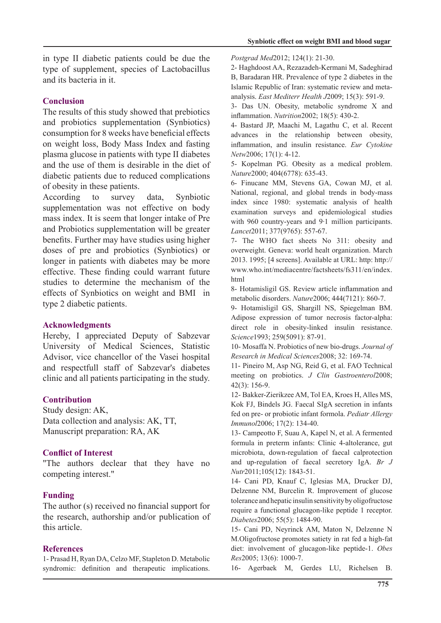in type II diabetic patients could be due the type of supplement, species of Lactobacillus and its bacteria in it

## **Conclusion**

The results of this study showed that prebiotics and probiotics supplementation (Synbiotics) consumption for 8 weeks have beneficial effects on weight loss, Body Mass Index and fasting plasma glucose in patients with type II diabetes and the use of them is desirable in the diet of diabetic patients due to reduced complications of obesity in these patients.

According to survey data, Synbiotic supplementation was not effective on body mass index. It is seem that longer intake of Pre and Probiotics supplementation will be greater benefits. Further may have studies using higher doses of pre and probiotics (Synbiotics) or longer in patients with diabetes may be more effective. These finding could warrant future studies to determine the mechanism of the effects of Synbiotics on weight and BMI in type 2 diabetic patients.

### **Acknowledgments**

Hereby, I appreciated Deputy of Sabzevar University of Medical Sciences. Statistic Advisor, vice chancellor of the Vasei hospital and respectfull staff of Sabzevar's diabetes clinic and all patients participating in the study.

# **Contribution**

Study design: AK, Data collection and analysis: AK, TT, Manuscript preparation: RA, AK

# **Conflict of Interest**

"The authors declear that they have no competing interest."

# **Funding**

The author  $(s)$  received no financial support for the research, authorship and/or publication of this article.

### **References**

1- Prasad H, Ryan DA, Celzo MF, Stapleton D. Metabolic syndromic: definition and therapeutic implications. Postgrad Med 2012; 124(1): 21-30.

2- Haghdoost AA, Rezazadeh-Kermani M, Sadeghirad B, Baradaran HR. Prevalence of type 2 diabetes in the analysis. *East Mediterr Health J*2009: 15(3): 591-9. Islamic Republic of Iran: systematic review and meta-

3- Das UN. Obesity, metabolic syndrome X and inflammation. Nutrition2002; 18(5): 430-2.

4- Bastard JP, Maachi M, Lagathu C, et al. Recent advances in the relationship between obesity. inflammation, and insulin resistance. Eur Cytokine Netw2006; 17(1): 4-12.

5- Kopelman PG. Obesity as a medical problem. Nature2000; 404(6778): 635-43.

6- Finucane MM, Stevens GA, Cowan MJ, et al. National, regional, and global trends in body-mass index since 1980: systematic analysis of health examination surveys and epidemiological studies with 960 country-years and  $9.1$  million participants. Lancet2011; 377(9765): 557-67.

7- The WHO fact sheets No 311: obesity and overweight. Geneva: world healt organization. March 2013. 1995;  $[4 \text{ screens}]$ . Available at URL: http:// www.who.int/mediacentre/factsheets/fs311/en/index. html

8- Hotamisligil GS. Review article inflammation and metabolic disorders. Nature2006; 444(7121): 860-7.

9- Hotamisligil GS, Shargill NS, Spiegelman BM. Adipose expression of tumor necrosis factor-alpha: direct role in obesity-linked insulin resistance. Science1993; 259(5091): 87-91.

10- Mosaffa N. Probiotics of new bio-drugs. Journal of Research in Medical Sciences 2008; 32: 169-74.

11- Pineiro M, Asp NG, Reid G, et al. FAO Technical meeting on probiotics. *J Clin Gastroenterol* 2008;  $42(3):156-9.$ 

12- Bakker-Zierikzee AM, Tol EA, Kroes H, Alles MS, Kok FJ, Bindels JG. Faecal SIgA secretion in infants fed on pre- or probiotic infant formola. Pediatr Allergy Immunol2006; 17(2): 134-40.

13- Campeotto F, Suau A, Kapel N, et al. A fermented formula in preterm infants: Clinic 4-altolerance, gut microbiota, down-regulation of faecal calprotection and up-regulation of faecal secretory IgA. Br J Nutr<sup>2011;105(12): 1843-51.</sup>

14- Cani PD, Knauf C, Iglesias MA, Drucker DJ, Delzenne NM, Burcelin R. Improvement of glucose tolerance and hepatic insulin sensitivity by oligofructose require a functional glucagon-like peptide 1 receptor. Diabetes<sup>2006</sup>; 55(5): 1484-90.

15- Cani PD, Neyrinck AM, Maton N, Delzenne N M. Oligofructose promotes satiety in rat fed a high-fat diet: involvement of glucagon-like peptide-1. Obes Res2005; 13(6): 1000-7.

16- Agerbaek M, Gerdes LU, Richelsen B.